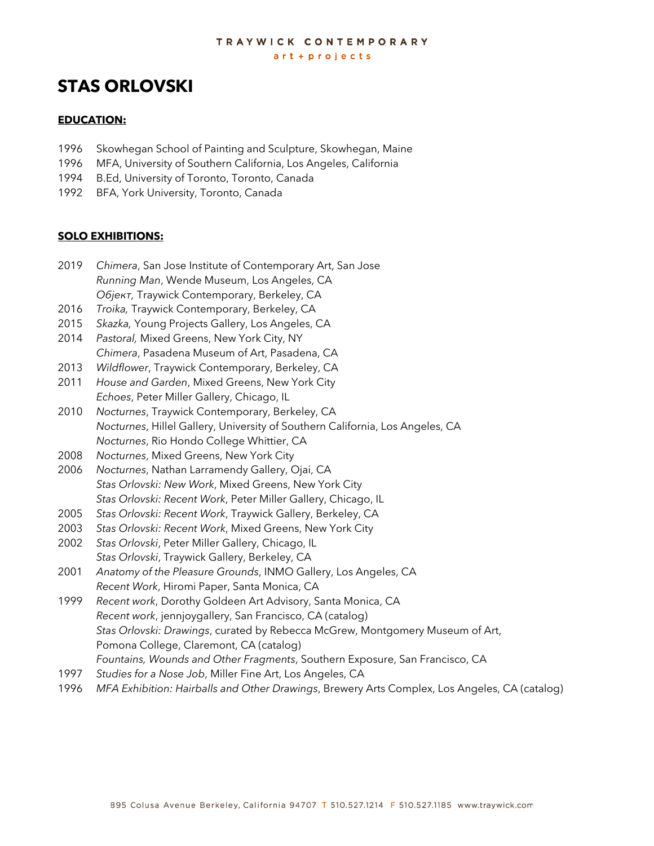#### TRAYWICK CONTEMPORARY art + projects

# **STAS ORLOVSKI**

#### **EDUCATION:**

- 1996 Skowhegan School of Painting and Sculpture, Skowhegan, Maine
- 1996 MFA, University of Southern California, Los Angeles, California
- 1994 B.Ed, University of Toronto, Toronto, Canada
- 1992 BFA, York University, Toronto, Canada

#### **SOLO EXHIBITIONS:**

- 2019 *Chimera*, San Jose Institute of Contemporary Art, San Jose *Running Man*, Wende Museum, Los Angeles, CA *Обjект,* Traywick Contemporary, Berkeley, CA
- 2016 *Troika,* Traywick Contemporary, Berkeley, CA
- 2015 *Skazka,* Young Projects Gallery, Los Angeles, CA
- 2014 *Pastoral,* Mixed Greens, New York City, NY *Chimera*, Pasadena Museum of Art, Pasadena, CA
- 2013 *Wildflower*, Traywick Contemporary, Berkeley, CA
- 2011 *House and Garden*, Mixed Greens, New York City *Echoes*, Peter Miller Gallery, Chicago, IL
- 2010 *Nocturnes*, Traywick Contemporary, Berkeley, CA *Nocturnes*, Hillel Gallery, University of Southern California, Los Angeles, CA *Nocturnes*, Rio Hondo College Whittier, CA
- 2008 *Nocturnes*, Mixed Greens, New York City
- 2006 *Nocturnes*, Nathan Larramendy Gallery, Ojai, CA *Stas Orlovski: New Work*, Mixed Greens, New York City *Stas Orlovski: Recent Work*, Peter Miller Gallery, Chicago, IL
- 2005 *Stas Orlovski: Recent Work*, Traywick Gallery, Berkeley, CA
- 2003 *Stas Orlovski: Recent Work*, Mixed Greens, New York City
- 2002 *Stas Orlovski*, Peter Miller Gallery, Chicago, IL *Stas Orlovski*, Traywick Gallery, Berkeley, CA
- 2001 *Anatomy of the Pleasure Grounds*, INMO Gallery, Los Angeles, CA *Recent Work*, Hiromi Paper, Santa Monica, CA
- 1999 *Recent work*, Dorothy Goldeen Art Advisory, Santa Monica, CA *Recent work*, jennjoygallery, San Francisco, CA (catalog) *Stas Orlovski: Drawings*, curated by Rebecca McGrew, Montgomery Museum of Art, Pomona College, Claremont, CA (catalog) *Fountains, Wounds and Other Fragments*, Southern Exposure, San Francisco, CA
- 1997 *Studies for a Nose Job*, Miller Fine Art, Los Angeles, CA
- 1996 *MFA Exhibition: Hairballs and Other Drawings*, Brewery Arts Complex, Los Angeles, CA (catalog)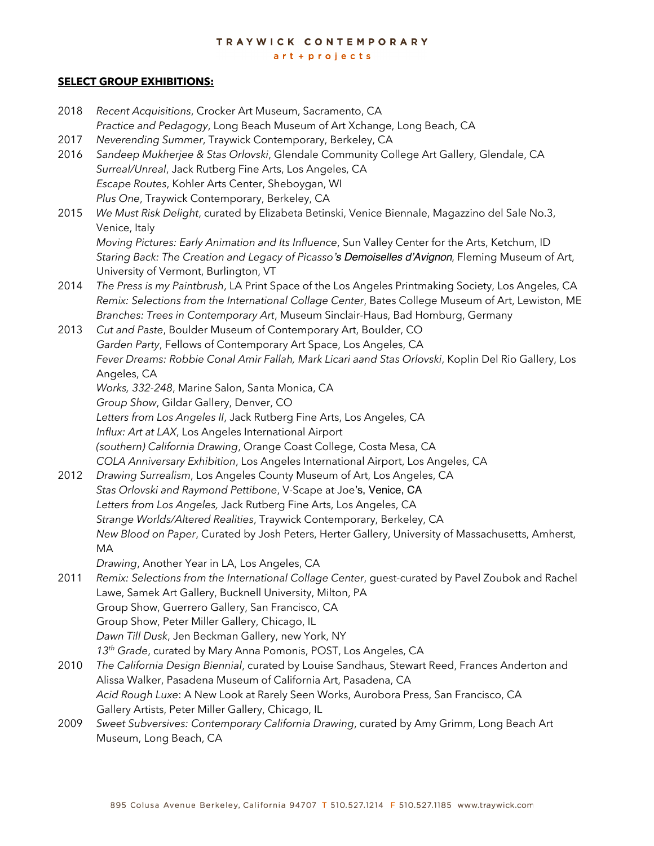art + projects

# **SELECT GROUP EXHIBITIONS:**

| 2018 | Recent Acquisitions, Crocker Art Museum, Sacramento, CA                                             |
|------|-----------------------------------------------------------------------------------------------------|
|      | Practice and Pedagogy, Long Beach Museum of Art Xchange, Long Beach, CA                             |
| 2017 | Neverending Summer, Traywick Contemporary, Berkeley, CA                                             |
| 2016 | Sandeep Mukherjee & Stas Orlovski, Glendale Community College Art Gallery, Glendale, CA             |
|      | Surreal/Unreal, Jack Rutberg Fine Arts, Los Angeles, CA                                             |
|      | Escape Routes, Kohler Arts Center, Sheboygan, WI                                                    |
|      | Plus One, Traywick Contemporary, Berkeley, CA                                                       |
| 2015 | We Must Risk Delight, curated by Elizabeta Betinski, Venice Biennale, Magazzino del Sale No.3,      |
|      | Venice, Italy                                                                                       |
|      | Moving Pictures: Early Animation and Its Influence, Sun Valley Center for the Arts, Ketchum, ID     |
|      | Staring Back: The Creation and Legacy of Picasso's Demoiselles d'Avignon, Fleming Museum of Art,    |
|      | University of Vermont, Burlington, VT                                                               |
| 2014 | The Press is my Paintbrush, LA Print Space of the Los Angeles Printmaking Society, Los Angeles, CA  |
|      | Remix: Selections from the International Collage Center, Bates College Museum of Art, Lewiston, ME  |
|      | Branches: Trees in Contemporary Art, Museum Sinclair-Haus, Bad Homburg, Germany                     |
| 2013 | Cut and Paste, Boulder Museum of Contemporary Art, Boulder, CO                                      |
|      | Garden Party, Fellows of Contemporary Art Space, Los Angeles, CA                                    |
|      | Fever Dreams: Robbie Conal Amir Fallah, Mark Licari aand Stas Orlovski, Koplin Del Rio Gallery, Los |
|      | Angeles, CA                                                                                         |
|      | Works, 332-248, Marine Salon, Santa Monica, CA                                                      |
|      | Group Show, Gildar Gallery, Denver, CO                                                              |
|      | Letters from Los Angeles II, Jack Rutberg Fine Arts, Los Angeles, CA                                |
|      | Influx: Art at LAX, Los Angeles International Airport                                               |
|      | (southern) California Drawing, Orange Coast College, Costa Mesa, CA                                 |
|      | COLA Anniversary Exhibition, Los Angeles International Airport, Los Angeles, CA                     |
| 2012 | Drawing Surrealism, Los Angeles County Museum of Art, Los Angeles, CA                               |
|      | Stas Orlovski and Raymond Pettibone, V-Scape at Joe's, Venice, CA                                   |
|      | Letters from Los Angeles, Jack Rutberg Fine Arts, Los Angeles, CA                                   |
|      | Strange Worlds/Altered Realities, Traywick Contemporary, Berkeley, CA                               |
|      | New Blood on Paper, Curated by Josh Peters, Herter Gallery, University of Massachusetts, Amherst,   |
|      | МA                                                                                                  |
|      | Drawing, Another Year in LA, Los Angeles, CA                                                        |
| 2011 | Remix: Selections from the International Collage Center, guest-curated by Pavel Zoubok and Rachel   |
|      | Lawe, Samek Art Gallery, Bucknell University, Milton, PA                                            |
|      | Group Show, Guerrero Gallery, San Francisco, CA                                                     |
|      | Group Show, Peter Miller Gallery, Chicago, IL                                                       |
|      | Dawn Till Dusk, Jen Beckman Gallery, new York, NY                                                   |
|      | 13 <sup>th</sup> Grade, curated by Mary Anna Pomonis, POST, Los Angeles, CA                         |
| 2010 | The California Design Biennial, curated by Louise Sandhaus, Stewart Reed, Frances Anderton and      |
|      | Alissa Walker, Pasadena Museum of California Art, Pasadena, CA                                      |
|      | Acid Rough Luxe: A New Look at Rarely Seen Works, Aurobora Press, San Francisco, CA                 |
|      | Gallery Artists, Peter Miller Gallery, Chicago, IL                                                  |
| 2009 | Sweet Subversives: Contemporary California Drawing, curated by Amy Grimm, Long Beach Art            |
|      | Museum, Long Beach, CA                                                                              |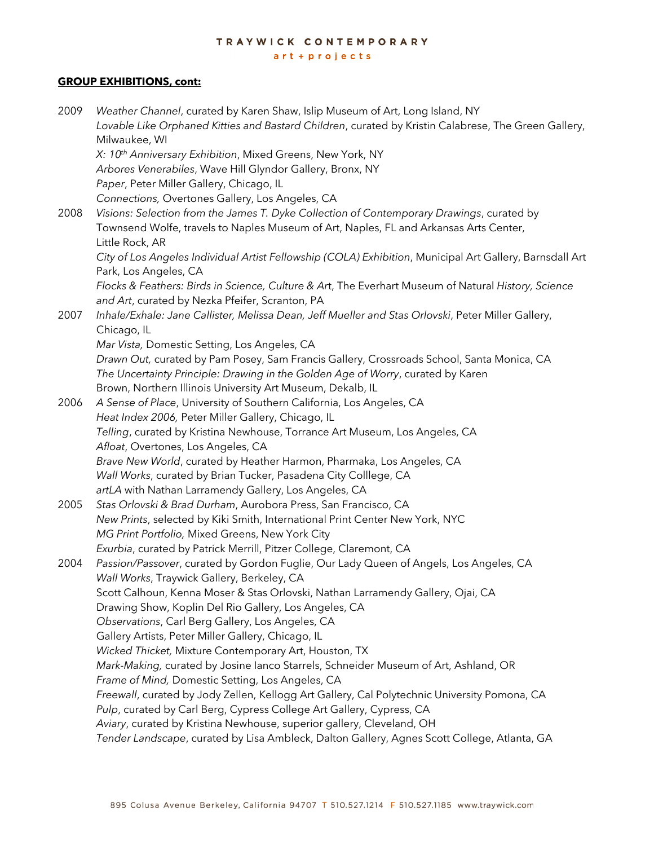$art + projects$ 

#### **GROUP EXHIBITIONS, cont:**

2009 *Weather Channel*, curated by Karen Shaw, Islip Museum of Art, Long Island, NY *Lovable Like Orphaned Kitties and Bastard Children*, curated by Kristin Calabrese, The Green Gallery, Milwaukee, WI *X: 10th Anniversary Exhibition*, Mixed Greens, New York, NY *Arbores Venerabiles*, Wave Hill Glyndor Gallery, Bronx, NY *Paper*, Peter Miller Gallery, Chicago, IL *Connections,* Overtones Gallery, Los Angeles, CA 2008 *Visions: Selection from the James T. Dyke Collection of Contemporary Drawings*, curated by Townsend Wolfe, travels to Naples Museum of Art, Naples, FL and Arkansas Arts Center, Little Rock, AR *City of Los Angeles Individual Artist Fellowship (COLA) Exhibition*, Municipal Art Gallery, Barnsdall Art Park, Los Angeles, CA *Flocks & Feathers: Birds in Science, Culture & Ar*t, The Everhart Museum of Natural *History, Science and Art*, curated by Nezka Pfeifer, Scranton, PA 2007 *Inhale/Exhale: Jane Callister, Melissa Dean, Jeff Mueller and Stas Orlovski*, Peter Miller Gallery, Chicago, IL *Mar Vista,* Domestic Setting, Los Angeles, CA *Drawn Out,* curated by Pam Posey, Sam Francis Gallery, Crossroads School, Santa Monica, CA *The Uncertainty Principle: Drawing in the Golden Age of Worry*, curated by Karen Brown, Northern Illinois University Art Museum, Dekalb, IL 2006 *A Sense of Place*, University of Southern California, Los Angeles, CA *Heat Index 2006,* Peter Miller Gallery, Chicago, IL *Telling*, curated by Kristina Newhouse, Torrance Art Museum, Los Angeles, CA *Afloat*, Overtones, Los Angeles, CA *Brave New World*, curated by Heather Harmon, Pharmaka, Los Angeles, CA *Wall Works*, curated by Brian Tucker, Pasadena City Colllege, CA *artLA* with Nathan Larramendy Gallery, Los Angeles, CA 2005 *Stas Orlovski & Brad Durham*, Aurobora Press, San Francisco, CA *New Prints*, selected by Kiki Smith, International Print Center New York, NYC *MG Print Portfolio,* Mixed Greens, New York City *Exurbia*, curated by Patrick Merrill, Pitzer College, Claremont, CA 2004 *Passion/Passover*, curated by Gordon Fuglie, Our Lady Queen of Angels, Los Angeles, CA *Wall Works*, Traywick Gallery, Berkeley, CA Scott Calhoun, Kenna Moser & Stas Orlovski, Nathan Larramendy Gallery, Ojai, CA Drawing Show, Koplin Del Rio Gallery, Los Angeles, CA *Observations*, Carl Berg Gallery, Los Angeles, CA Gallery Artists, Peter Miller Gallery, Chicago, IL *Wicked Thicket,* Mixture Contemporary Art, Houston, TX *Mark-Making,* curated by Josine Ianco Starrels, Schneider Museum of Art, Ashland, OR *Frame of Mind,* Domestic Setting, Los Angeles, CA *Freewall*, curated by Jody Zellen, Kellogg Art Gallery, Cal Polytechnic University Pomona, CA *Pulp*, curated by Carl Berg, Cypress College Art Gallery, Cypress, CA *Aviary*, curated by Kristina Newhouse, superior gallery, Cleveland, OH *Tender Landscape*, curated by Lisa Ambleck, Dalton Gallery, Agnes Scott College, Atlanta, GA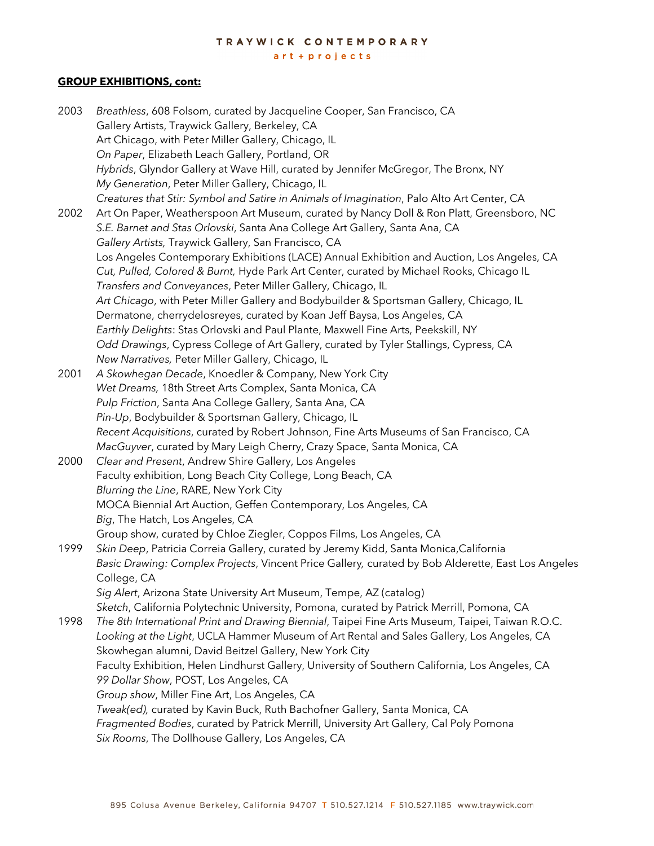art + projects

#### **GROUP EXHIBITIONS, cont:**

| 2003 | Breathless, 608 Folsom, curated by Jacqueline Cooper, San Francisco, CA                            |
|------|----------------------------------------------------------------------------------------------------|
|      | Gallery Artists, Traywick Gallery, Berkeley, CA                                                    |
|      | Art Chicago, with Peter Miller Gallery, Chicago, IL                                                |
|      | On Paper, Elizabeth Leach Gallery, Portland, OR                                                    |
|      | Hybrids, Glyndor Gallery at Wave Hill, curated by Jennifer McGregor, The Bronx, NY                 |
|      | My Generation, Peter Miller Gallery, Chicago, IL                                                   |
|      | Creatures that Stir: Symbol and Satire in Animals of Imagination, Palo Alto Art Center, CA         |
| 2002 | Art On Paper, Weatherspoon Art Museum, curated by Nancy Doll & Ron Platt, Greensboro, NC           |
|      | S.E. Barnet and Stas Orlovski, Santa Ana College Art Gallery, Santa Ana, CA                        |
|      | Gallery Artists, Traywick Gallery, San Francisco, CA                                               |
|      | Los Angeles Contemporary Exhibitions (LACE) Annual Exhibition and Auction, Los Angeles, CA         |
|      | Cut, Pulled, Colored & Burnt, Hyde Park Art Center, curated by Michael Rooks, Chicago IL           |
|      | Transfers and Conveyances, Peter Miller Gallery, Chicago, IL                                       |
|      | Art Chicago, with Peter Miller Gallery and Bodybuilder & Sportsman Gallery, Chicago, IL            |
|      | Dermatone, cherrydelosreyes, curated by Koan Jeff Baysa, Los Angeles, CA                           |
|      | Earthly Delights: Stas Orlovski and Paul Plante, Maxwell Fine Arts, Peekskill, NY                  |
|      | Odd Drawings, Cypress College of Art Gallery, curated by Tyler Stallings, Cypress, CA              |
|      | New Narratives, Peter Miller Gallery, Chicago, IL                                                  |
| 2001 | A Skowhegan Decade, Knoedler & Company, New York City                                              |
|      | Wet Dreams, 18th Street Arts Complex, Santa Monica, CA                                             |
|      | Pulp Friction, Santa Ana College Gallery, Santa Ana, CA                                            |
|      | Pin-Up, Bodybuilder & Sportsman Gallery, Chicago, IL                                               |
|      | Recent Acquisitions, curated by Robert Johnson, Fine Arts Museums of San Francisco, CA             |
|      | MacGuyver, curated by Mary Leigh Cherry, Crazy Space, Santa Monica, CA                             |
| 2000 | Clear and Present, Andrew Shire Gallery, Los Angeles                                               |
|      | Faculty exhibition, Long Beach City College, Long Beach, CA                                        |
|      | Blurring the Line, RARE, New York City                                                             |
|      | MOCA Biennial Art Auction, Geffen Contemporary, Los Angeles, CA                                    |
|      | Big, The Hatch, Los Angeles, CA                                                                    |
|      | Group show, curated by Chloe Ziegler, Coppos Films, Los Angeles, CA                                |
| 1999 | Skin Deep, Patricia Correia Gallery, curated by Jeremy Kidd, Santa Monica, California              |
|      | Basic Drawing: Complex Projects, Vincent Price Gallery, curated by Bob Alderette, East Los Angeles |
|      | College, CA                                                                                        |
|      | Sig Alert, Arizona State University Art Museum, Tempe, AZ (catalog)                                |
|      | Sketch, California Polytechnic University, Pomona, curated by Patrick Merrill, Pomona, CA          |
| 1998 | The 8th International Print and Drawing Biennial, Taipei Fine Arts Museum, Taipei, Taiwan R.O.C.   |
|      | Looking at the Light, UCLA Hammer Museum of Art Rental and Sales Gallery, Los Angeles, CA          |
|      | Skowhegan alumni, David Beitzel Gallery, New York City                                             |
|      | Faculty Exhibition, Helen Lindhurst Gallery, University of Southern California, Los Angeles, CA    |
|      | 99 Dollar Show, POST, Los Angeles, CA                                                              |
|      | Group show, Miller Fine Art, Los Angeles, CA                                                       |
|      | Tweak(ed), curated by Kavin Buck, Ruth Bachofner Gallery, Santa Monica, CA                         |
|      | Fragmented Bodies, curated by Patrick Merrill, University Art Gallery, Cal Poly Pomona             |
|      | Six Rooms, The Dollhouse Gallery, Los Angeles, CA                                                  |
|      |                                                                                                    |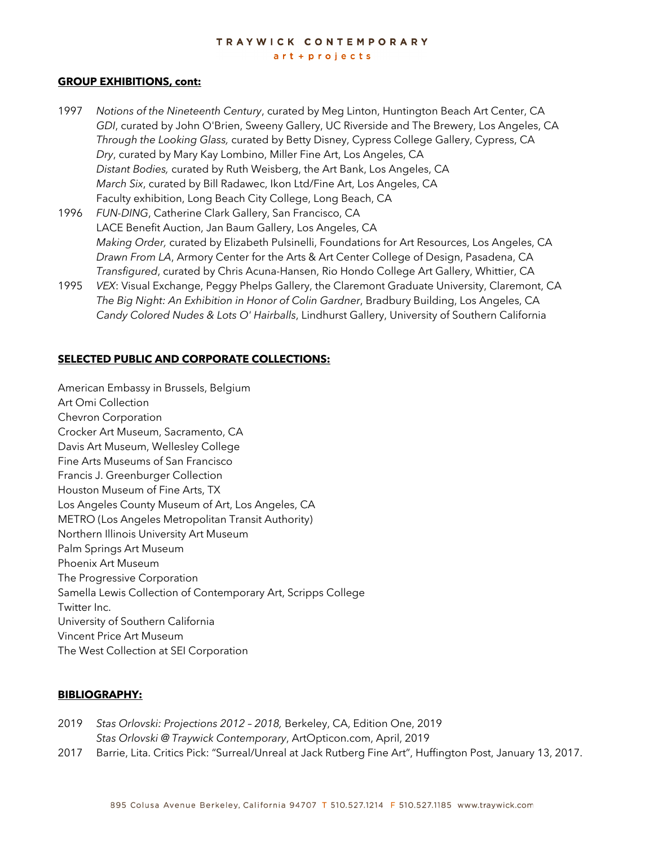art + projects

#### **GROUP EXHIBITIONS, cont:**

- 1997 *Notions of the Nineteenth Century*, curated by Meg Linton, Huntington Beach Art Center, CA *GDI*, curated by John O'Brien, Sweeny Gallery, UC Riverside and The Brewery, Los Angeles, CA *Through the Looking Glass,* curated by Betty Disney, Cypress College Gallery, Cypress, CA *Dry*, curated by Mary Kay Lombino, Miller Fine Art, Los Angeles, CA *Distant Bodies,* curated by Ruth Weisberg, the Art Bank, Los Angeles, CA *March Six*, curated by Bill Radawec, Ikon Ltd/Fine Art, Los Angeles, CA Faculty exhibition, Long Beach City College, Long Beach, CA
- 1996 *FUN-DING*, Catherine Clark Gallery, San Francisco, CA LACE Benefit Auction, Jan Baum Gallery, Los Angeles, CA *Making Order,* curated by Elizabeth Pulsinelli, Foundations for Art Resources, Los Angeles, CA *Drawn From LA*, Armory Center for the Arts & Art Center College of Design, Pasadena, CA *Transfigured*, curated by Chris Acuna-Hansen, Rio Hondo College Art Gallery, Whittier, CA
- 1995 *VEX*: Visual Exchange, Peggy Phelps Gallery, the Claremont Graduate University, Claremont, CA *The Big Night: An Exhibition in Honor of Colin Gardner*, Bradbury Building, Los Angeles, CA *Candy Colored Nudes & Lots O' Hairballs*, Lindhurst Gallery, University of Southern California

#### **SELECTED PUBLIC AND CORPORATE COLLECTIONS:**

American Embassy in Brussels, Belgium Art Omi Collection Chevron Corporation Crocker Art Museum, Sacramento, CA Davis Art Museum, Wellesley College Fine Arts Museums of San Francisco Francis J. Greenburger Collection Houston Museum of Fine Arts, TX Los Angeles County Museum of Art, Los Angeles, CA METRO (Los Angeles Metropolitan Transit Authority) Northern Illinois University Art Museum Palm Springs Art Museum Phoenix Art Museum The Progressive Corporation Samella Lewis Collection of Contemporary Art, Scripps College Twitter Inc. University of Southern California Vincent Price Art Museum The West Collection at SEI Corporation

#### **BIBLIOGRAPHY:**

| 2019 | Stas Orlovski: Projections 2012 - 2018, Berkeley, CA, Edition One, 2019 |                                                |
|------|-------------------------------------------------------------------------|------------------------------------------------|
|      | Stas Orlovski @ Traywick Contemporary, ArtOpticon.com, April, 2019      |                                                |
|      | $\sim$ $\sim$ $\sim$                                                    | $\overline{10}$ $\overline{0}$ $\overline{11}$ |

2017 Barrie, Lita. Critics Pick: "Surreal/Unreal at Jack Rutberg Fine Art", Huffington Post, January 13, 2017.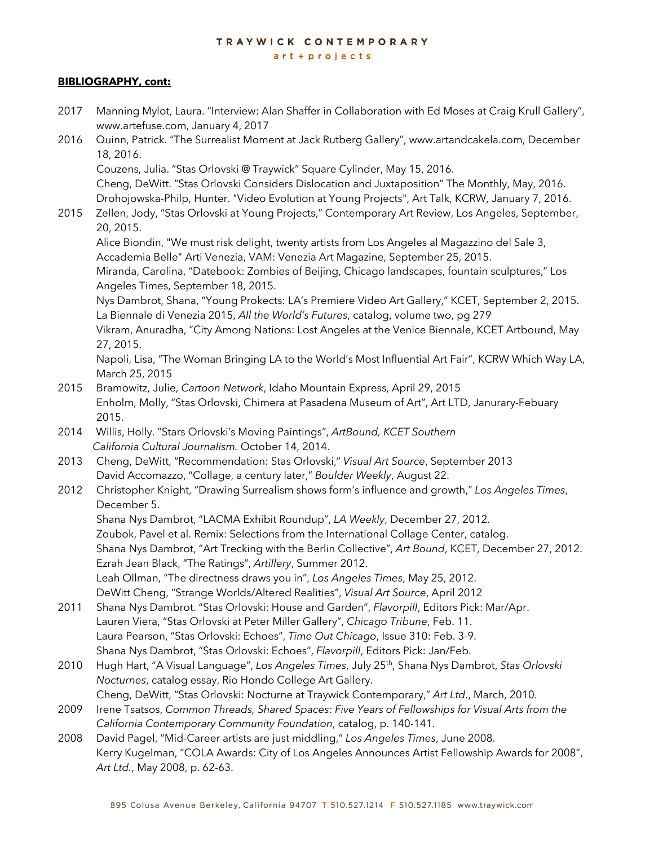#### $art + projects$

#### **BIBLIOGRAPHY, cont:**

- 2017 Manning Mylot, Laura. "Interview: Alan Shaffer in Collaboration with Ed Moses at Craig Krull Gallery", www.artefuse.com, January 4, 2017
- 2016 Ouinn, Patrick. "The Surrealist Moment at Jack Rutberg Gallery", www.artandcakela.com, December 18, 2016.

Couzens, Julia. "Stas Orlovski @ Traywick" Square Cylinder, May 15, 2016. Cheng, DeWitt. "Stas Orlovski Considers Dislocation and Juxtaposition" The Monthly, May, 2016. Drohojowska-Philp, Hunter. "Video Evolution at Young Projects", Art Talk, KCRW, January 7, 2016.

2015 Zellen, Jody, "Stas Orlovski at Young Projects," Contemporary Art Review, Los Angeles, September, 20, 2015.

Alice Biondin, "We must risk delight, twenty artists from Los Angeles al Magazzino del Sale 3, Accademia Belle" Arti Venezia, VAM: Venezia Art Magazine, September 25, 2015. Miranda, Carolina, "Datebook: Zombies of Beijing, Chicago landscapes, fountain sculptures," Los Angeles Times, September 18, 2015.

Nys Dambrot, Shana, "Young Prokects: LA's Premiere Video Art Gallery," KCET, September 2, 2015. La Biennale di Venezia 2015, *All the World's Futures*, catalog, volume two, pg 279

Vikram, Anuradha, "City Among Nations: Lost Angeles at the Venice Biennale, KCET Artbound, May 27, 2015.

Napoli, Lisa, "The Woman Bringing LA to the World's Most Influential Art Fair", KCRW Which Way LA, March 25, 2015

- 2015 Bramowitz, Julie, *Cartoon Network*, Idaho Mountain Express, April 29, 2015 Enholm, Molly, "Stas Orlovski, Chimera at Pasadena Museum of Art", Art LTD, Janurary-Febuary 2015.
- 2014 Willis, Holly. "Stars Orlovski's Moving Paintings", *ArtBound, KCET Southern California Cultural Journalism.* October 14, 2014.
- 2013 Cheng, DeWitt, "Recommendation: Stas Orlovski," *Visual Art Source*, September 2013 David Accomazzo, "Collage, a century later," *Boulder Weekly*, August 22.
- 2012 Christopher Knight, "Drawing Surrealism shows form's influence and growth," *Los Angeles Times*, December 5. Shana Nys Dambrot, "LACMA Exhibit Roundup", *LA Weekly*, December 27, 2012. Zoubok, Pavel et al. Remix: Selections from the International Collage Center, catalog. Shana Nys Dambrot, "Art Trecking with the Berlin Collective", *Art Bound*, KCET, December 27, 2012. Ezrah Jean Black, "The Ratings", *Artillery*, Summer 2012. Leah Ollman, "The directness draws you in", *Los Angeles Times*, May 25, 2012. DeWitt Cheng, "Strange Worlds/Altered Realities", *Visual Art Source*, April 2012
- 2011 Shana Nys Dambrot. "Stas Orlovski: House and Garden", *Flavorpill*, Editors Pick: Mar/Apr. Lauren Viera, "Stas Orlovski at Peter Miller Gallery", *Chicago Tribune*, Feb. 11. Laura Pearson, "Stas Orlovski: Echoes", *Time Out Chicago*, Issue 310: Feb. 3-9. Shana Nys Dambrot, "Stas Orlovski: Echoes", *Flavorpill*, Editors Pick: Jan/Feb.
- 2010 Hugh Hart, "A Visual Language", *Los Angeles Times*, July 25th, Shana Nys Dambrot, *Stas Orlovski Nocturnes*, catalog essay, Rio Hondo College Art Gallery. Cheng, DeWitt, "Stas Orlovski: Nocturne at Traywick Contemporary," *Art Ltd*., March, 2010.
- 2009 Irene Tsatsos, *Common Threads, Shared Spaces: Five Years of Fellowships for Visual Arts from the California Contemporary Community Foundation*, catalog, p. 140-141.
- 2008 David Pagel, "Mid-Career artists are just middling," *Los Angeles Times*, June 2008. Kerry Kugelman, "COLA Awards: City of Los Angeles Announces Artist Fellowship Awards for 2008", *Art Ltd.*, May 2008, p. 62-63.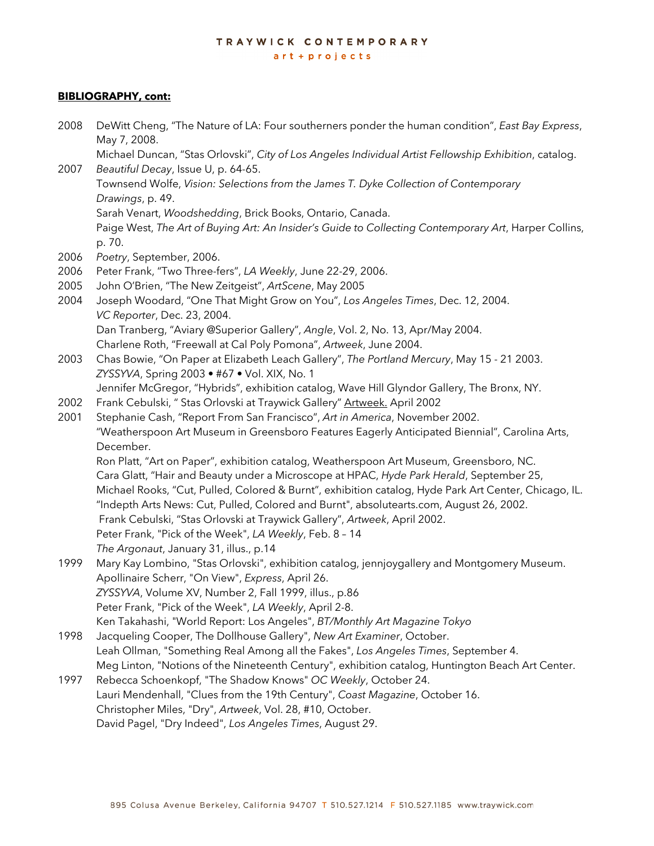art + projects

#### **BIBLIOGRAPHY, cont:**

| 2008 | DeWitt Cheng, "The Nature of LA: Four southerners ponder the human condition", East Bay Express,<br>May 7, 2008.                                                   |  |
|------|--------------------------------------------------------------------------------------------------------------------------------------------------------------------|--|
|      | Michael Duncan, "Stas Orlovski", City of Los Angeles Individual Artist Fellowship Exhibition, catalog.                                                             |  |
| 2007 | Beautiful Decay, Issue U, p. 64-65.                                                                                                                                |  |
|      | Townsend Wolfe, Vision: Selections from the James T. Dyke Collection of Contemporary                                                                               |  |
|      | Drawings, p. 49.                                                                                                                                                   |  |
|      | Sarah Venart, Woodshedding, Brick Books, Ontario, Canada.                                                                                                          |  |
|      | Paige West, The Art of Buying Art: An Insider's Guide to Collecting Contemporary Art, Harper Collins,                                                              |  |
|      | p. 70.                                                                                                                                                             |  |
| 2006 | Poetry, September, 2006.                                                                                                                                           |  |
| 2006 | Peter Frank, "Two Three-fers", LA Weekly, June 22-29, 2006.                                                                                                        |  |
| 2005 | John O'Brien, "The New Zeitgeist", ArtScene, May 2005                                                                                                              |  |
| 2004 | Joseph Woodard, "One That Might Grow on You", Los Angeles Times, Dec. 12, 2004.                                                                                    |  |
|      | VC Reporter, Dec. 23, 2004.                                                                                                                                        |  |
|      | Dan Tranberg, "Aviary @Superior Gallery", Angle, Vol. 2, No. 13, Apr/May 2004.                                                                                     |  |
|      | Charlene Roth, "Freewall at Cal Poly Pomona", Artweek, June 2004.                                                                                                  |  |
| 2003 | Chas Bowie, "On Paper at Elizabeth Leach Gallery", The Portland Mercury, May 15 - 21 2003.                                                                         |  |
|      | ZYSSYVA, Spring 2003 · #67 · Vol. XIX, No. 1                                                                                                                       |  |
|      | Jennifer McGregor, "Hybrids", exhibition catalog, Wave Hill Glyndor Gallery, The Bronx, NY.                                                                        |  |
| 2002 | Frank Cebulski, "Stas Orlovski at Traywick Gallery" Artweek. April 2002                                                                                            |  |
| 2001 | Stephanie Cash, "Report From San Francisco", Art in America, November 2002.                                                                                        |  |
|      | "Weatherspoon Art Museum in Greensboro Features Eagerly Anticipated Biennial", Carolina Arts,<br>December.                                                         |  |
|      | Ron Platt, "Art on Paper", exhibition catalog, Weatherspoon Art Museum, Greensboro, NC.                                                                            |  |
|      | Cara Glatt, "Hair and Beauty under a Microscope at HPAC, Hyde Park Herald, September 25,                                                                           |  |
|      | Michael Rooks, "Cut, Pulled, Colored & Burnt", exhibition catalog, Hyde Park Art Center, Chicago, IL.                                                              |  |
|      | "Indepth Arts News: Cut, Pulled, Colored and Burnt", absolutearts.com, August 26, 2002.                                                                            |  |
|      | Frank Cebulski, "Stas Orlovski at Traywick Gallery", Artweek, April 2002.                                                                                          |  |
|      | Peter Frank, "Pick of the Week", LA Weekly, Feb. 8 - 14                                                                                                            |  |
|      | The Argonaut, January 31, illus., p.14                                                                                                                             |  |
| 1999 | Mary Kay Lombino, "Stas Orlovski", exhibition catalog, jennjoygallery and Montgomery Museum.                                                                       |  |
|      | Apollinaire Scherr, "On View", Express, April 26.                                                                                                                  |  |
|      | ZYSSYVA, Volume XV, Number 2, Fall 1999, illus., p.86                                                                                                              |  |
|      | Peter Frank, "Pick of the Week", LA Weekly, April 2-8.                                                                                                             |  |
|      | Ken Takahashi, "World Report: Los Angeles", BT/Monthly Art Magazine Tokyo                                                                                          |  |
| 1998 | Jacqueling Cooper, The Dollhouse Gallery", New Art Examiner, October.                                                                                              |  |
|      | Leah Ollman, "Something Real Among all the Fakes", Los Angeles Times, September 4.                                                                                 |  |
| 1997 | Meg Linton, "Notions of the Nineteenth Century", exhibition catalog, Huntington Beach Art Center.<br>Rebecca Schoenkopf, "The Shadow Knows" OC Weekly, October 24. |  |
|      | Lauri Mendenhall, "Clues from the 19th Century", Coast Magazine, October 16.                                                                                       |  |
|      | Christopher Miles, "Dry", Artweek, Vol. 28, #10, October.                                                                                                          |  |
|      |                                                                                                                                                                    |  |

David Pagel, "Dry Indeed", *Los Angeles Times*, August 29.